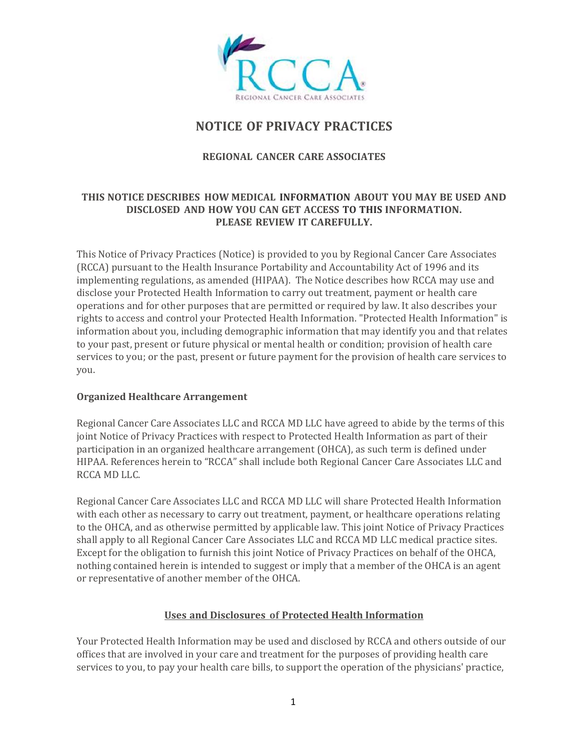

# **NOTICE OF PRIVACY PRACTICES**

# **REGIONAL CANCER CARE ASSOCIATES**

## **THIS NOTICE DESCRIBES HOW MEDICAL INFORMATION ABOUT YOU MAY BE USED AND DISCLOSED AND HOW YOU CAN GET ACCESS TO THIS INFORMATION. PLEASE REVIEW IT CAREFULLY.**

This Notice of Privacy Practices (Notice) is provided to you by Regional Cancer Care Associates (RCCA) pursuant to the Health Insurance Portability and Accountability Act of 1996 and its implementing regulations, as amended (HIPAA). The Notice describes how RCCA may use and disclose your Protected Health Information to carry out treatment, payment or health care operations and for other purposes that are permitted or required by law. It also describes your rights to access and control your Protected Health Information. "Protected Health Information" is information about you, including demographic information that may identify you and that relates to your past, present or future physical or mental health or condition; provision of health care services to you; or the past, present or future payment for the provision of health care services to you.

## **Organized Healthcare Arrangement**

Regional Cancer Care Associates LLC and RCCA MD LLC have agreed to abide by the terms of this joint Notice of Privacy Practices with respect to Protected Health Information as part of their participation in an organized healthcare arrangement (OHCA), as such term is defined under HIPAA. References herein to "RCCA" shall include both Regional Cancer Care Associates LLC and RCCA MD LLC.

Regional Cancer Care Associates LLC and RCCA MD LLC will share Protected Health Information with each other as necessary to carry out treatment, payment, or healthcare operations relating to the OHCA, and as otherwise permitted by applicable law. This joint Notice of Privacy Practices shall apply to all Regional Cancer Care Associates LLC and RCCA MD LLC medical practice sites. Except for the obligation to furnish this joint Notice of Privacy Practices on behalf of the OHCA, nothing contained herein is intended to suggest or imply that a member of the OHCA is an agent or representative of another member of the OHCA.

## **Uses and Disclosures of Protected Health Information**

Your Protected Health Information may be used and disclosed by RCCA and others outside of our offices that are involved in your care and treatment for the purposes of providing health care services to you, to pay your health care bills, to support the operation of the physicians' practice,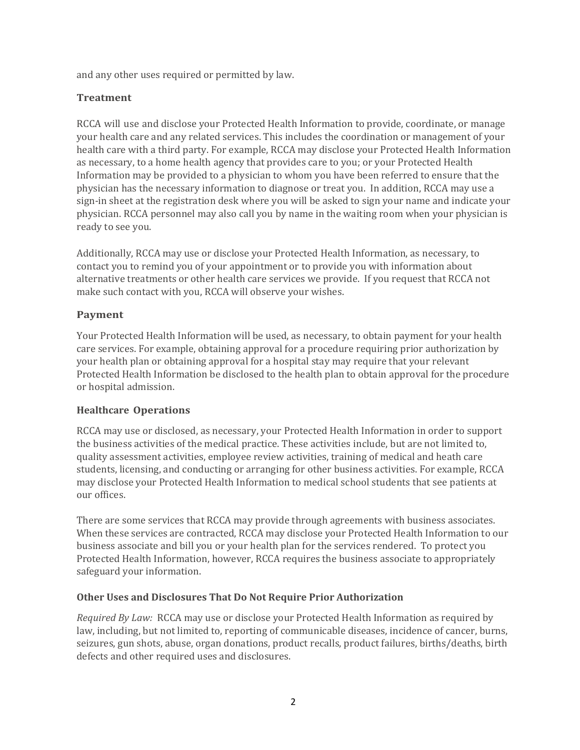and any other uses required or permitted by law.

## **Treatment**

RCCA will use and disclose your Protected Health Information to provide, coordinate, or manage your health care and any related services. This includes the coordination or management of your health care with a third party. For example, RCCA may disclose your Protected Health Information as necessary, to a home health agency that provides care to you; or your Protected Health Information may be provided to a physician to whom you have been referred to ensure that the physician has the necessary information to diagnose or treat you. In addition, RCCA may use a sign-in sheet at the registration desk where you will be asked to sign your name and indicate your physician. RCCA personnel may also call you by name in the waiting room when your physician is ready to see you.

Additionally, RCCA may use or disclose your Protected Health Information, as necessary, to contact you to remind you of your appointment or to provide you with information about alternative treatments or other health care services we provide. If you request that RCCA not make such contact with you, RCCA will observe your wishes.

## **Payment**

Your Protected Health Information will be used, as necessary, to obtain payment for your health care services. For example, obtaining approval for a procedure requiring prior authorization by your health plan or obtaining approval for a hospital stay may require that your relevant Protected Health Information be disclosed to the health plan to obtain approval for the procedure or hospital admission.

## **Healthcare Operations**

RCCA may use or disclosed, as necessary, your Protected Health Information in order to support the business activities of the medical practice. These activities include, but are not limited to, quality assessment activities, employee review activities, training of medical and heath care students, licensing, and conducting or arranging for other business activities. For example, RCCA may disclose your Protected Health Information to medical school students that see patients at our offices.

There are some services that RCCA may provide through agreements with business associates. When these services are contracted, RCCA may disclose your Protected Health Information to our business associate and bill you or your health plan for the services rendered. To protect you Protected Health Information, however, RCCA requires the business associate to appropriately safeguard your information.

## **Other Uses and Disclosures That Do Not Require Prior Authorization**

*Required By Law:* RCCA may use or disclose your Protected Health Information as required by law, including, but not limited to, reporting of communicable diseases, incidence of cancer, burns, seizures, gun shots, abuse, organ donations, product recalls, product failures, births/deaths, birth defects and other required uses and disclosures.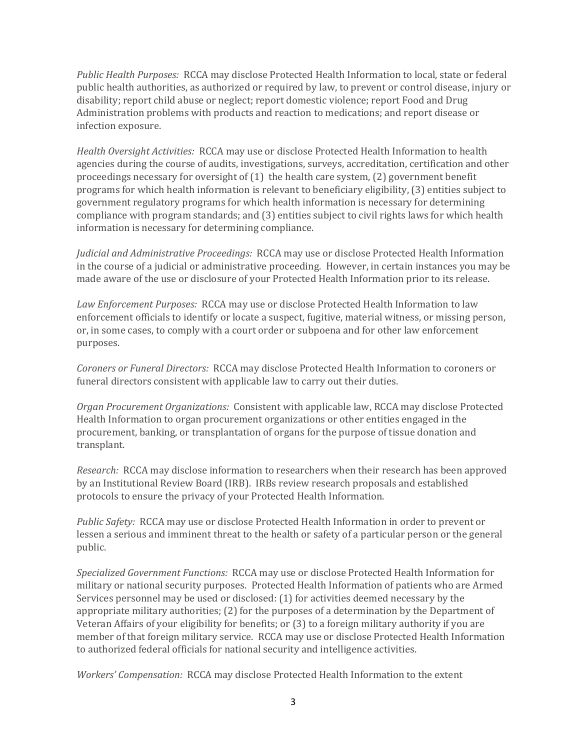*Public Health Purposes:* RCCA may disclose Protected Health Information to local, state or federal public health authorities, as authorized or required by law, to prevent or control disease, injury or disability; report child abuse or neglect; report domestic violence; report Food and Drug Administration problems with products and reaction to medications; and report disease or infection exposure.

*Health Oversight Activities:* RCCA may use or disclose Protected Health Information to health agencies during the course of audits, investigations, surveys, accreditation, certification and other proceedings necessary for oversight of (1) the health care system, (2) government benefit programs for which health information is relevant to beneficiary eligibility, (3) entities subject to government regulatory programs for which health information is necessary for determining compliance with program standards; and (3) entities subject to civil rights laws for which health information is necessary for determining compliance.

*Judicial and Administrative Proceedings:* RCCA may use or disclose Protected Health Information in the course of a judicial or administrative proceeding. However, in certain instances you may be made aware of the use or disclosure of your Protected Health Information prior to its release.

*Law Enforcement Purposes:* RCCA may use or disclose Protected Health Information to law enforcement officials to identify or locate a suspect, fugitive, material witness, or missing person, or, in some cases, to comply with a court order or subpoena and for other law enforcement purposes.

*Coroners or Funeral Directors:* RCCA may disclose Protected Health Information to coroners or funeral directors consistent with applicable law to carry out their duties.

*Organ Procurement Organizations:* Consistent with applicable law, RCCA may disclose Protected Health Information to organ procurement organizations or other entities engaged in the procurement, banking, or transplantation of organs for the purpose of tissue donation and transplant.

*Research:* RCCA may disclose information to researchers when their research has been approved by an Institutional Review Board (IRB). IRBs review research proposals and established protocols to ensure the privacy of your Protected Health Information.

*Public Safety:* RCCA may use or disclose Protected Health Information in order to prevent or lessen a serious and imminent threat to the health or safety of a particular person or the general public.

*Specialized Government Functions:* RCCA may use or disclose Protected Health Information for military or national security purposes. Protected Health Information of patients who are Armed Services personnel may be used or disclosed: (1) for activities deemed necessary by the appropriate military authorities; (2) for the purposes of a determination by the Department of Veteran Affairs of your eligibility for benefits; or (3) to a foreign military authority if you are member of that foreign military service. RCCA may use or disclose Protected Health Information to authorized federal officials for national security and intelligence activities.

*Workers' Compensation:* RCCA may disclose Protected Health Information to the extent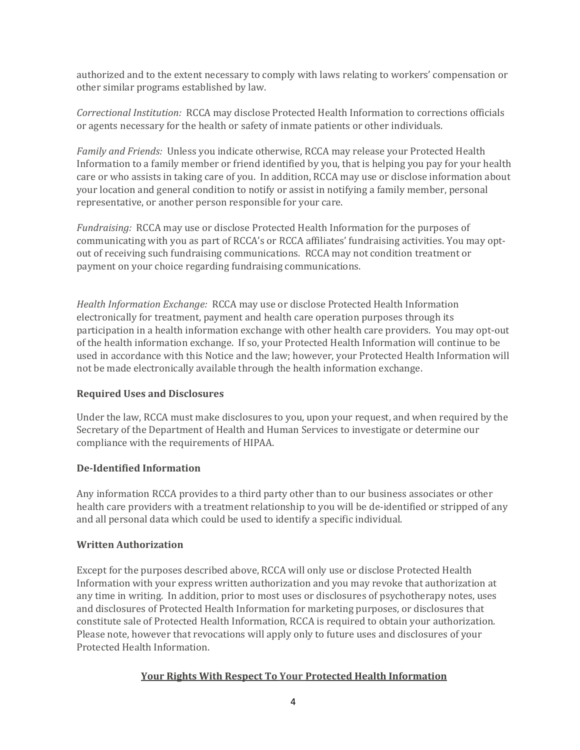authorized and to the extent necessary to comply with laws relating to workers' compensation or other similar programs established by law.

*Correctional Institution:* RCCA may disclose Protected Health Information to corrections officials or agents necessary for the health or safety of inmate patients or other individuals.

*Family and Friends:* Unless you indicate otherwise, RCCA may release your Protected Health Information to a family member or friend identified by you, that is helping you pay for your health care or who assists in taking care of you. In addition, RCCA may use or disclose information about your location and general condition to notify or assist in notifying a family member, personal representative, or another person responsible for your care.

*Fundraising:* RCCA may use or disclose Protected Health Information for the purposes of communicating with you as part of RCCA's or RCCA affiliates' fundraising activities. You may optout of receiving such fundraising communications. RCCA may not condition treatment or payment on your choice regarding fundraising communications.

*Health Information Exchange:* RCCA may use or disclose Protected Health Information electronically for treatment, payment and health care operation purposes through its participation in a health information exchange with other health care providers. You may opt-out of the health information exchange. If so, your Protected Health Information will continue to be used in accordance with this Notice and the law; however, your Protected Health Information will not be made electronically available through the health information exchange.

## **Required Uses and Disclosures**

Under the law, RCCA must make disclosures to you, upon your request, and when required by the Secretary of the Department of Health and Human Services to investigate or determine our compliance with the requirements of HIPAA.

## **De‐Identified Information**

Any information RCCA provides to a third party other than to our business associates or other health care providers with a treatment relationship to you will be de-identified or stripped of any and all personal data which could be used to identify a specific individual.

## **Written Authorization**

Except for the purposes described above, RCCA will only use or disclose Protected Health Information with your express written authorization and you may revoke that authorization at any time in writing. In addition, prior to most uses or disclosures of psychotherapy notes, uses and disclosures of Protected Health Information for marketing purposes, or disclosures that constitute sale of Protected Health Information, RCCA is required to obtain your authorization. Please note, however that revocations will apply only to future uses and disclosures of your Protected Health Information.

## **Your Rights With Respect To Your Protected Health Information**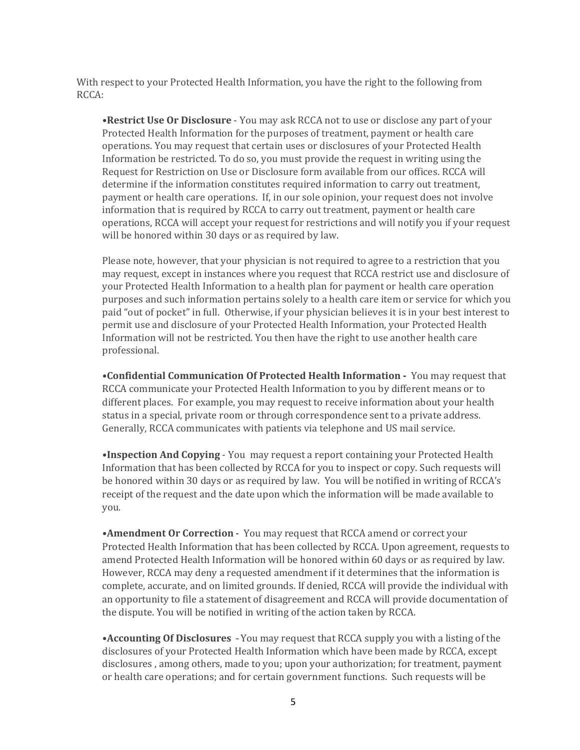With respect to your Protected Health Information, you have the right to the following from RCCA:

**•Restrict Use Or Disclosure** - You may ask RCCA not to use or disclose any part of your Protected Health Information for the purposes of treatment, payment or health care operations. You may request that certain uses or disclosures of your Protected Health Information be restricted. To do so, you must provide the request in writing using the Request for Restriction on Use or Disclosure form available from our offices. RCCA will determine if the information constitutes required information to carry out treatment, payment or health care operations. If, in our sole opinion, your request does not involve information that is required by RCCA to carry out treatment, payment or health care operations, RCCA will accept your request for restrictions and will notify you if your request will be honored within 30 days or as required by law.

Please note, however, that your physician is not required to agree to a restriction that you may request, except in instances where you request that RCCA restrict use and disclosure of your Protected Health Information to a health plan for payment or health care operation purposes and such information pertains solely to a health care item or service for which you paid "out of pocket" in full. Otherwise, if your physician believes it is in your best interest to permit use and disclosure of your Protected Health Information, your Protected Health Information will not be restricted. You then have the right to use another health care professional.

**•Confidential Communication Of Protected Health Information ‐**  You may request that RCCA communicate your Protected Health Information to you by different means or to different places. For example, you may request to receive information about your health status in a special, private room or through correspondence sent to a private address. Generally, RCCA communicates with patients via telephone and US mail service.

**•Inspection And Copying** - You may request a report containing your Protected Health Information that has been collected by RCCA for you to inspect or copy. Such requests will be honored within 30 days or as required by law. You will be notified in writing of RCCA's receipt of the request and the date upon which the information will be made available to you.

**•Amendment Or Correction** - You may request that RCCA amend or correct your Protected Health Information that has been collected by RCCA. Upon agreement, requests to amend Protected Health Information will be honored within 60 days or as required by law. However, RCCA may deny a requested amendment if it determines that the information is complete, accurate, and on limited grounds. If denied, RCCA will provide the individual with an opportunity to file a statement of disagreement and RCCA will provide documentation of the dispute. You will be notified in writing of the action taken by RCCA.

**•Accounting Of Disclosures** - You may request that RCCA supply you with a listing of the disclosures of your Protected Health Information which have been made by RCCA, except disclosures , among others, made to you; upon your authorization; for treatment, payment or health care operations; and for certain government functions. Such requests will be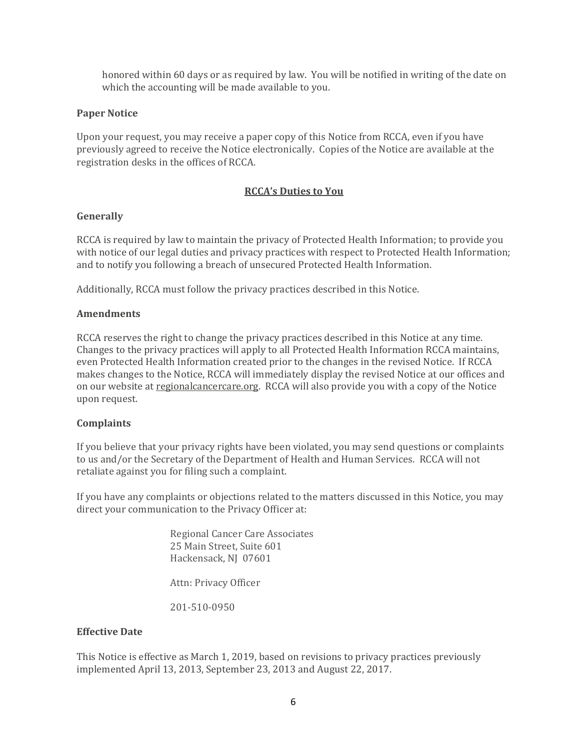honored within 60 days or as required by law. You will be notified in writing of the date on which the accounting will be made available to you.

#### **Paper Notice**

Upon your request, you may receive a paper copy of this Notice from RCCA, even if you have previously agreed to receive the Notice electronically. Copies of the Notice are available at the registration desks in the offices of RCCA.

#### **RCCA's Duties to You**

#### **Generally**

RCCA is required by law to maintain the privacy of Protected Health Information; to provide you with notice of our legal duties and privacy practices with respect to Protected Health Information; and to notify you following a breach of unsecured Protected Health Information.

Additionally, RCCA must follow the privacy practices described in this Notice.

#### **Amendments**

RCCA reserves the right to change the privacy practices described in this Notice at any time. Changes to the privacy practices will apply to all Protected Health Information RCCA maintains, even Protected Health Information created prior to the changes in the revised Notice. If RCCA makes changes to the Notice, RCCA will immediately display the revised Notice at our offices and on our website at regionalcancercare.org. RCCA will also provide you with a copy of the Notice upon request.

## **Complaints**

If you believe that your privacy rights have been violated, you may send questions or complaints to us and/or the Secretary of the Department of Health and Human Services. RCCA will not retaliate against you for filing such a complaint.

If you have any complaints or objections related to the matters discussed in this Notice, you may direct your communication to the Privacy Officer at:

> Regional Cancer Care Associates 25 Main Street, Suite 601 Hackensack, NJ 07601

Attn: Privacy Officer

201-510-0950

#### **Effective Date**

This Notice is effective as March 1, 2019, based on revisions to privacy practices previously implemented April 13, 2013, September 23, 2013 and August 22, 2017.